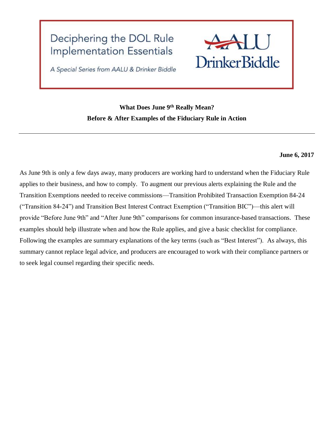# Deciphering the DOL Rule **Implementation Essentials**



A Special Series from AALU & Drinker Biddle

# **What Does June 9th Really Mean? Before & After Examples of the Fiduciary Rule in Action**

## **June 6, 2017**

As June 9th is only a few days away, many producers are working hard to understand when the Fiduciary Rule applies to their business, and how to comply. To augment our previous alerts explaining the Rule and the Transition Exemptions needed to receive commissions—Transition Prohibited Transaction Exemption 84-24 ("Transition 84-24") and Transition Best Interest Contract Exemption ("Transition BIC")—this alert will provide "Before June 9th" and "After June 9th" comparisons for common insurance-based transactions. These examples should help illustrate when and how the Rule applies, and give a basic checklist for compliance. Following the examples are summary explanations of the key terms (such as "Best Interest"). As always, this summary cannot replace legal advice, and producers are encouraged to work with their compliance partners or to seek legal counsel regarding their specific needs.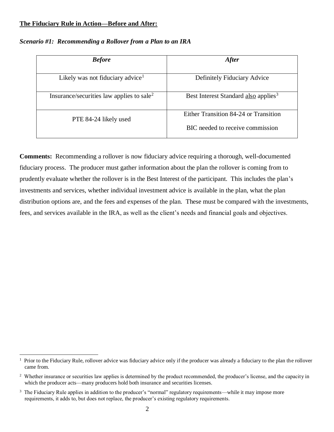### **The Fiduciary Rule in Action—Before and After:**

| <b>Before</b>                                         | <b>After</b>                                     |
|-------------------------------------------------------|--------------------------------------------------|
| Likely was not fiduciary advice <sup>1</sup>          | Definitely Fiduciary Advice                      |
| Insurance/securities law applies to sale <sup>2</sup> | Best Interest Standard also applies <sup>3</sup> |
| PTE 84-24 likely used                                 | Either Transition 84-24 or Transition            |
|                                                       | BIC needed to receive commission                 |

#### *Scenario #1: Recommending a Rollover from a Plan to an IRA*

**Comments:** Recommending a rollover is now fiduciary advice requiring a thorough, well-documented fiduciary process. The producer must gather information about the plan the rollover is coming from to prudently evaluate whether the rollover is in the Best Interest of the participant. This includes the plan's investments and services, whether individual investment advice is available in the plan, what the plan distribution options are, and the fees and expenses of the plan. These must be compared with the investments, fees, and services available in the IRA, as well as the client's needs and financial goals and objectives.

 $\overline{a}$ <sup>1</sup> Prior to the Fiduciary Rule, rollover advice was fiduciary advice only if the producer was already a fiduciary to the plan the rollover came from.

<sup>&</sup>lt;sup>2</sup> Whether insurance or securities law applies is determined by the product recommended, the producer's license, and the capacity in which the producer acts—many producers hold both insurance and securities licenses.

<sup>&</sup>lt;sup>3</sup> The Fiduciary Rule applies in addition to the producer's "normal" regulatory requirements—while it may impose more requirements, it adds to, but does not replace, the producer's existing regulatory requirements.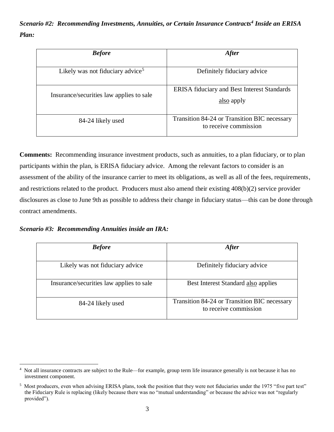*Scenario #2: Recommending Investments, Annuities, or Certain Insurance Contracts<sup>4</sup> Inside an ERISA Plan:*

| <b>Before</b>                                | <b>After</b>                                                          |
|----------------------------------------------|-----------------------------------------------------------------------|
| Likely was not fiduciary advice <sup>5</sup> | Definitely fiduciary advice                                           |
| Insurance/securities law applies to sale     | <b>ERISA</b> fiduciary and Best Interest Standards<br>also apply      |
| 84-24 likely used                            | Transition 84-24 or Transition BIC necessary<br>to receive commission |

**Comments:** Recommending insurance investment products, such as annuities, to a plan fiduciary, or to plan participants within the plan, is ERISA fiduciary advice. Among the relevant factors to consider is an assessment of the ability of the insurance carrier to meet its obligations, as well as all of the fees, requirements, and restrictions related to the product. Producers must also amend their existing 408(b)(2) service provider disclosures as close to June 9th as possible to address their change in fiduciary status—this can be done through contract amendments.

*Scenario #3: Recommending Annuities inside an IRA:*

 $\overline{a}$ 

| <b>Before</b>                            | <b>After</b>                                                          |
|------------------------------------------|-----------------------------------------------------------------------|
|                                          |                                                                       |
| Likely was not fiduciary advice          | Definitely fiduciary advice                                           |
| Insurance/securities law applies to sale | Best Interest Standard also applies                                   |
| 84-24 likely used                        | Transition 84-24 or Transition BIC necessary<br>to receive commission |

<sup>4</sup> Not all insurance contracts are subject to the Rule—for example, group term life insurance generally is not because it has no investment component.

 $<sup>5</sup>$  Most producers, even when advising ERISA plans, took the position that they were not fiduciaries under the 1975 "five part test"</sup> the Fiduciary Rule is replacing (likely because there was no "mutual understanding" or because the advice was not "regularly provided").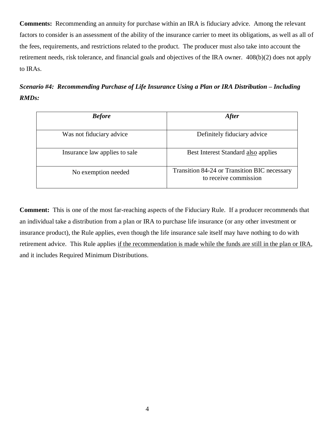**Comments:** Recommending an annuity for purchase within an IRA is fiduciary advice. Among the relevant factors to consider is an assessment of the ability of the insurance carrier to meet its obligations, as well as all of the fees, requirements, and restrictions related to the product. The producer must also take into account the retirement needs, risk tolerance, and financial goals and objectives of the IRA owner. 408(b)(2) does not apply to IRAs.

*Scenario #4: Recommending Purchase of Life Insurance Using a Plan or IRA Distribution – Including RMDs:*

| <b>Before</b>                 | <b>After</b>                                                          |
|-------------------------------|-----------------------------------------------------------------------|
| Was not fiduciary advice      | Definitely fiduciary advice                                           |
| Insurance law applies to sale | Best Interest Standard also applies                                   |
| No exemption needed           | Transition 84-24 or Transition BIC necessary<br>to receive commission |

**Comment:** This is one of the most far-reaching aspects of the Fiduciary Rule. If a producer recommends that an individual take a distribution from a plan or IRA to purchase life insurance (or any other investment or insurance product), the Rule applies, even though the life insurance sale itself may have nothing to do with retirement advice. This Rule applies if the recommendation is made while the funds are still in the plan or IRA, and it includes Required Minimum Distributions.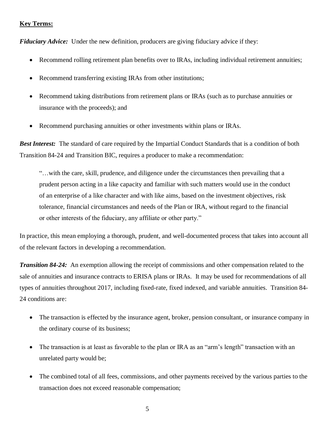## **Key Terms:**

*Fiduciary Advice:* Under the new definition, producers are giving fiduciary advice if they:

- Recommend rolling retirement plan benefits over to IRAs, including individual retirement annuities;
- Recommend transferring existing IRAs from other institutions;
- Recommend taking distributions from retirement plans or IRAs (such as to purchase annuities or insurance with the proceeds); and
- Recommend purchasing annuities or other investments within plans or IRAs.

**Best Interest:** The standard of care required by the Impartial Conduct Standards that is a condition of both Transition 84-24 and Transition BIC, requires a producer to make a recommendation:

"…with the care, skill, prudence, and diligence under the circumstances then prevailing that a prudent person acting in a like capacity and familiar with such matters would use in the conduct of an enterprise of a like character and with like aims, based on the investment objectives, risk tolerance, financial circumstances and needs of the Plan or IRA, without regard to the financial or other interests of the fiduciary, any affiliate or other party."

In practice, this mean employing a thorough, prudent, and well-documented process that takes into account all of the relevant factors in developing a recommendation.

*Transition 84-24:* An exemption allowing the receipt of commissions and other compensation related to the sale of annuities and insurance contracts to ERISA plans or IRAs. It may be used for recommendations of all types of annuities throughout 2017, including fixed-rate, fixed indexed, and variable annuities. Transition 84- 24 conditions are:

- The transaction is effected by the insurance agent, broker, pension consultant, or insurance company in the ordinary course of its business;
- The transaction is at least as favorable to the plan or IRA as an "arm's length" transaction with an unrelated party would be;
- The combined total of all fees, commissions, and other payments received by the various parties to the transaction does not exceed reasonable compensation;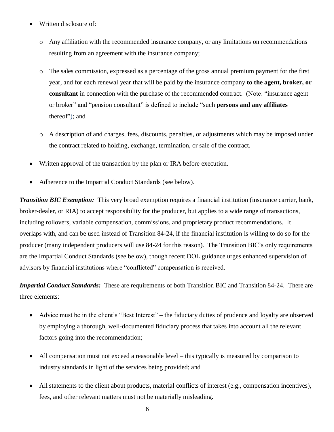- Written disclosure of:
	- o Any affiliation with the recommended insurance company, or any limitations on recommendations resulting from an agreement with the insurance company;
	- o The sales commission, expressed as a percentage of the gross annual premium payment for the first year, and for each renewal year that will be paid by the insurance company **to the agent, broker, or consultant** in connection with the purchase of the recommended contract. (Note: "insurance agent or broker" and "pension consultant" is defined to include "such **persons and any affiliates** thereof"); and
	- o A description of and charges, fees, discounts, penalties, or adjustments which may be imposed under the contract related to holding, exchange, termination, or sale of the contract.
- Written approval of the transaction by the plan or IRA before execution.
- Adherence to the Impartial Conduct Standards (see below).

*Transition BIC Exemption:* This very broad exemption requires a financial institution (insurance carrier, bank, broker-dealer, or RIA) to accept responsibility for the producer, but applies to a wide range of transactions, including rollovers, variable compensation, commissions, and proprietary product recommendations. It overlaps with, and can be used instead of Transition 84-24, if the financial institution is willing to do so for the producer (many independent producers will use 84-24 for this reason). The Transition BIC's only requirements are the Impartial Conduct Standards (see below), though recent DOL guidance urges enhanced supervision of advisors by financial institutions where "conflicted" compensation is received.

*Impartial Conduct Standards:* These are requirements of both Transition BIC and Transition 84-24. There are three elements:

- Advice must be in the client's "Best Interest" the fiduciary duties of prudence and loyalty are observed by employing a thorough, well-documented fiduciary process that takes into account all the relevant factors going into the recommendation;
- All compensation must not exceed a reasonable level this typically is measured by comparison to industry standards in light of the services being provided; and
- All statements to the client about products, material conflicts of interest (e.g., compensation incentives), fees, and other relevant matters must not be materially misleading.